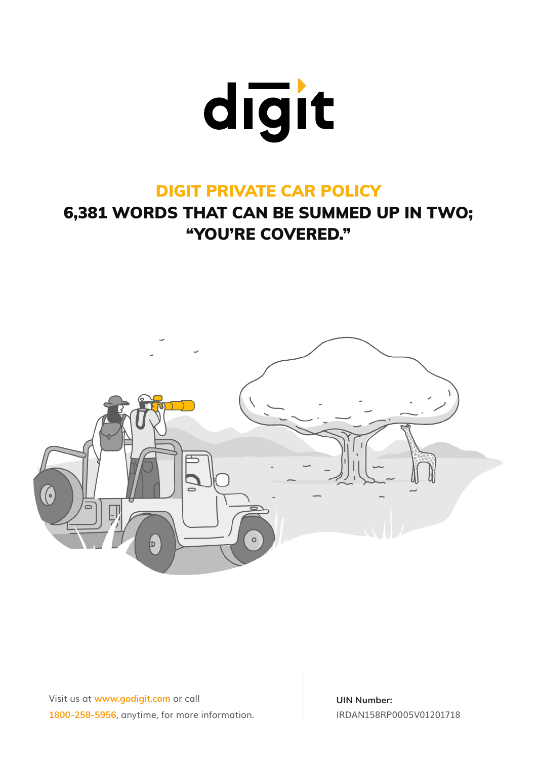

## DIGIT PRIVATE CAR POLICY

# 6,381 WORDS THAT CAN BE SUMMED UP IN TWO; "YOU'RE COVERED."



Visit us at **www.godigit.com** or call **1800-258-5956**, anytime, for more information.

**UIN Number:** IRDAN158RP0005V01201718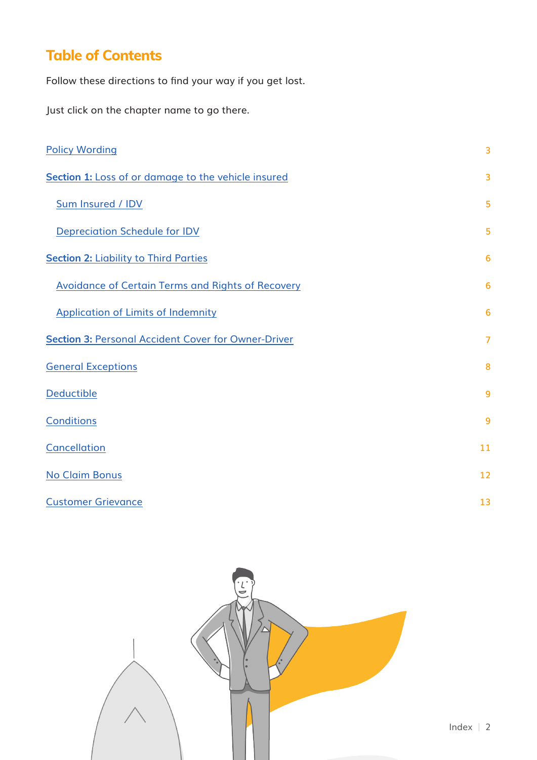## **Table of Contents**

Follow these directions to find your way if you get lost.

Just click on the chapter name to go there.

| <b>Policy Wording</b>                                      | $\overline{3}$  |
|------------------------------------------------------------|-----------------|
| Section 1: Loss of or damage to the vehicle insured        | 3               |
| Sum Insured / IDV                                          | 5               |
| <b>Depreciation Schedule for IDV</b>                       | 5               |
| <b>Section 2: Liability to Third Parties</b>               | $6\phantom{1}6$ |
| <b>Avoidance of Certain Terms and Rights of Recovery</b>   | $6\phantom{1}6$ |
| <b>Application of Limits of Indemnity</b>                  | 6               |
| <b>Section 3: Personal Accident Cover for Owner-Driver</b> | $\overline{7}$  |
| <b>General Exceptions</b>                                  | 8               |
| <b>Deductible</b>                                          | 9               |
| <b>Conditions</b>                                          | 9               |
| <b>Cancellation</b>                                        | 11              |
| <b>No Claim Bonus</b>                                      | 12              |
| <b>Customer Grievance</b>                                  | 13              |

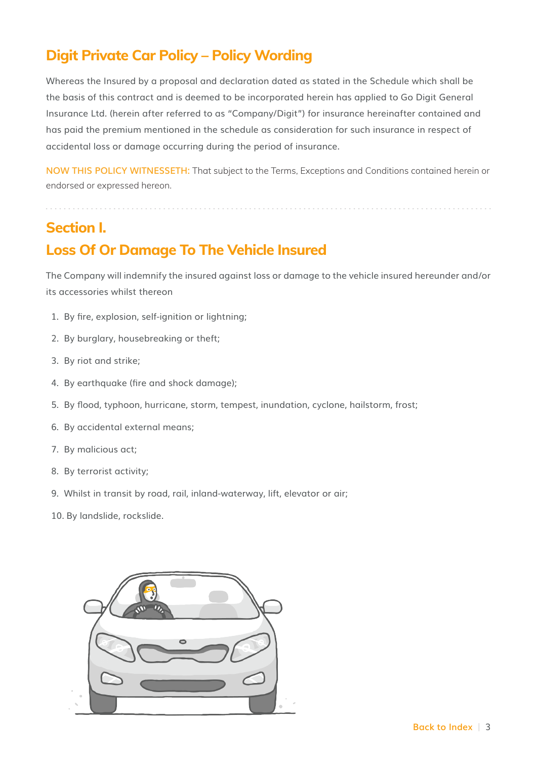## **Digit Private Car Policy – Policy Wording**

Whereas the Insured by a proposal and declaration dated as stated in the Schedule which shall be the basis of this contract and is deemed to be incorporated herein has applied to Go Digit General Insurance Ltd. (herein after referred to as "Company/Digit") for insurance hereinafter contained and has paid the premium mentioned in the schedule as consideration for such insurance in respect of accidental loss or damage occurring during the period of insurance.

**NOW THIS POLICY WITNESSETH:** That subject to the Terms, Exceptions and Conditions contained herein or endorsed or expressed hereon.

### **Section I.**

## **Loss Of Or Damage To The Vehicle Insured**

The Company will indemnify the insured against loss or damage to the vehicle insured hereunder and/or its accessories whilst thereon

- 1. By fire, explosion, self-ignition or lightning;
- 2. By burglary, housebreaking or theft;
- 3. By riot and strike;
- 4. By earthquake (fire and shock damage);
- 5. By flood, typhoon, hurricane, storm, tempest, inundation, cyclone, hailstorm, frost;
- 6. By accidental external means;
- 7. By malicious act;
- 8. By terrorist activity;
- 9. Whilst in transit by road, rail, inland-waterway, lift, elevator or air;
- 10. By landslide, rockslide.

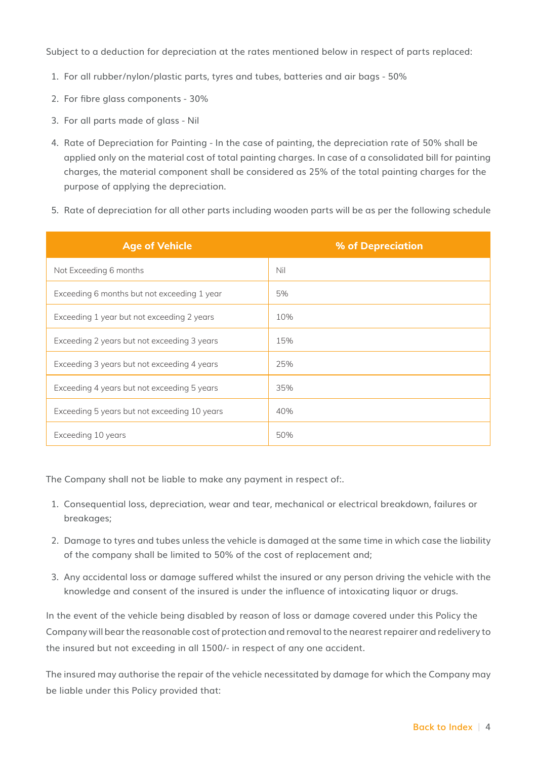Subject to a deduction for depreciation at the rates mentioned below in respect of parts replaced:

- 1. For all rubber/nylon/plastic parts, tyres and tubes, batteries and air bags 50%
- 2. For fibre glass components 30%
- 3. For all parts made of glass Nil
- 4. Rate of Depreciation for Painting In the case of painting, the depreciation rate of 50% shall be applied only on the material cost of total painting charges. In case of a consolidated bill for painting charges, the material component shall be considered as 25% of the total painting charges for the purpose of applying the depreciation.
- 5. Rate of depreciation for all other parts including wooden parts will be as per the following schedule

| <b>Age of Vehicle</b>                        | % of Depreciation |
|----------------------------------------------|-------------------|
| Not Exceeding 6 months                       | Nil               |
| Exceeding 6 months but not exceeding 1 year  | 5%                |
| Exceeding 1 year but not exceeding 2 years   | 10%               |
| Exceeding 2 years but not exceeding 3 years  | 15%               |
| Exceeding 3 years but not exceeding 4 years  | 25%               |
| Exceeding 4 years but not exceeding 5 years  | 35%               |
| Exceeding 5 years but not exceeding 10 years | 40%               |
| Exceeding 10 years                           | 50%               |

The Company shall not be liable to make any payment in respect of:.

- 1. Consequential loss, depreciation, wear and tear, mechanical or electrical breakdown, failures or breakages;
- 2. Damage to tyres and tubes unless the vehicle is damaged at the same time in which case the liability of the company shall be limited to 50% of the cost of replacement and;
- 3. Any accidental loss or damage suffered whilst the insured or any person driving the vehicle with the knowledge and consent of the insured is under the influence of intoxicating liquor or drugs.

In the event of the vehicle being disabled by reason of loss or damage covered under this Policy the Company will bear the reasonable cost of protection and removal to the nearest repairer and redelivery to the insured but not exceeding in all 1500/- in respect of any one accident.

The insured may authorise the repair of the vehicle necessitated by damage for which the Company may be liable under this Policy provided that: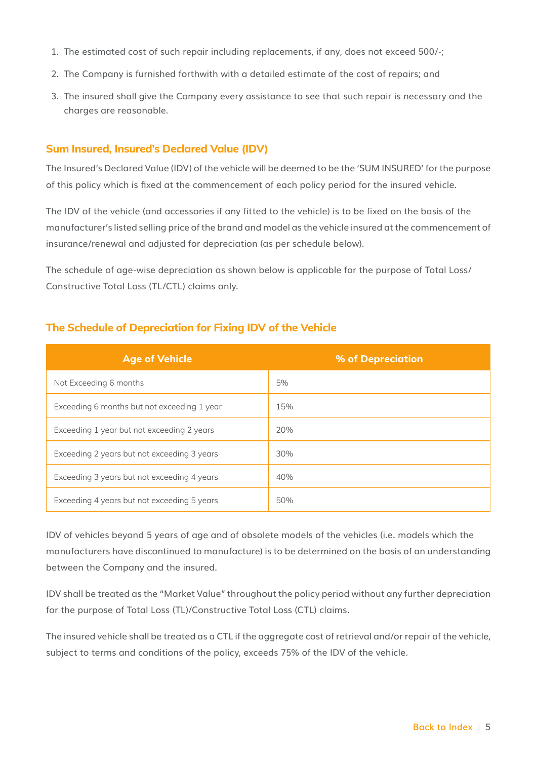- 1. The estimated cost of such repair including replacements, if any, does not exceed 500/-;
- 2. The Company is furnished forthwith with a detailed estimate of the cost of repairs; and
- 3. The insured shall give the Company every assistance to see that such repair is necessary and the charges are reasonable.

#### **Sum Insured, Insured's Declared Value (IDV)**

The Insured's Declared Value (IDV) of the vehicle will be deemed to be the 'SUM INSURED' for the purpose of this policy which is fixed at the commencement of each policy period for the insured vehicle.

The IDV of the vehicle (and accessories if any fitted to the vehicle) is to be fixed on the basis of the manufacturer's listed selling price of the brand and model as the vehicle insured at the commencement of insurance/renewal and adjusted for depreciation (as per schedule below).

The schedule of age-wise depreciation as shown below is applicable for the purpose of Total Loss/ Constructive Total Loss (TL/CTL) claims only.

| <b>Age of Vehicle</b>                       | % of Depreciation |
|---------------------------------------------|-------------------|
| Not Exceeding 6 months                      | 5%                |
| Exceeding 6 months but not exceeding 1 year | 15%               |
| Exceeding 1 year but not exceeding 2 years  | 20%               |
| Exceeding 2 years but not exceeding 3 years | 30%               |
| Exceeding 3 years but not exceeding 4 years | 40%               |
| Exceeding 4 years but not exceeding 5 years | 50%               |

#### **The Schedule of Depreciation for Fixing IDV of the Vehicle**

IDV of vehicles beyond 5 years of age and of obsolete models of the vehicles (i.e. models which the manufacturers have discontinued to manufacture) is to be determined on the basis of an understanding between the Company and the insured.

IDV shall be treated as the "Market Value" throughout the policy period without any further depreciation for the purpose of Total Loss (TL)/Constructive Total Loss (CTL) claims.

The insured vehicle shall be treated as a CTL if the aggregate cost of retrieval and/or repair of the vehicle, subject to terms and conditions of the policy, exceeds 75% of the IDV of the vehicle.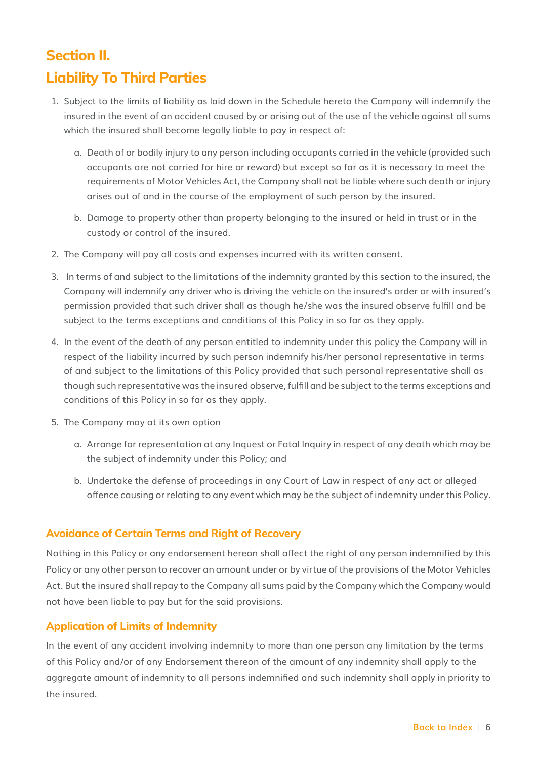# **Section II. Liability To Third Parties**

- 1. Subject to the limits of liability as laid down in the Schedule hereto the Company will indemnify the insured in the event of an accident caused by or arising out of the use of the vehicle against all sums which the insured shall become legally liable to pay in respect of:
	- a. Death of or bodily injury to any person including occupants carried in the vehicle (provided such occupants are not carried for hire or reward) but except so far as it is necessary to meet the requirements of Motor Vehicles Act, the Company shall not be liable where such death or injury arises out of and in the course of the employment of such person by the insured.
	- b. Damage to property other than property belonging to the insured or held in trust or in the custody or control of the insured.
- 2. The Company will pay all costs and expenses incurred with its written consent.
- 3. In terms of and subject to the limitations of the indemnity granted by this section to the insured, the Company will indemnify any driver who is driving the vehicle on the insured's order or with insured's permission provided that such driver shall as though he/she was the insured observe fulfill and be subject to the terms exceptions and conditions of this Policy in so far as they apply.
- 4. In the event of the death of any person entitled to indemnity under this policy the Company will in respect of the liability incurred by such person indemnify his/her personal representative in terms of and subject to the limitations of this Policy provided that such personal representative shall as though such representative was the insured observe, fulfill and be subject to the terms exceptions and conditions of this Policy in so far as they apply.
- 5. The Company may at its own option
	- a. Arrange for representation at any Inquest or Fatal Inquiry in respect of any death which may be the subject of indemnity under this Policy; and
	- b. Undertake the defense of proceedings in any Court of Law in respect of any act or alleged offence causing or relating to any event which may be the subject of indemnity under this Policy.

#### **Avoidance of Certain Terms and Right of Recovery**

Nothing in this Policy or any endorsement hereon shall affect the right of any person indemnified by this Policy or any other person to recover an amount under or by virtue of the provisions of the Motor Vehicles Act. But the insured shall repay to the Company all sums paid by the Company which the Company would not have been liable to pay but for the said provisions.

#### **Application of Limits of Indemnity**

In the event of any accident involving indemnity to more than one person any limitation by the terms of this Policy and/or of any Endorsement thereon of the amount of any indemnity shall apply to the aggregate amount of indemnity to all persons indemnified and such indemnity shall apply in priority to the insured.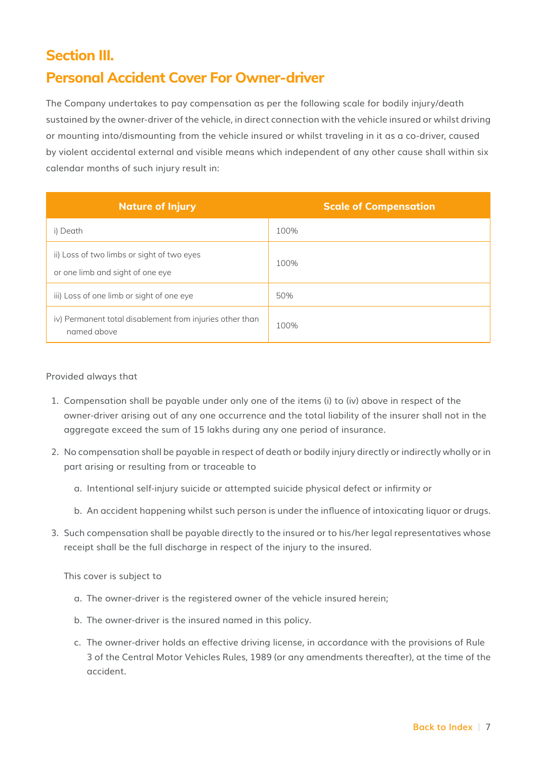### **Section III.**

#### **Personal Accident Cover For Owner-driver**

The Company undertakes to pay compensation as per the following scale for bodily injury/death sustained by the owner-driver of the vehicle, in direct connection with the vehicle insured or whilst driving or mounting into/dismounting from the vehicle insured or whilst traveling in it as a co-driver, caused by violent accidental external and visible means which independent of any other cause shall within six calendar months of such injury result in:

| <b>Nature of Injury</b>                                                        | <b>Scale of Compensation</b> |
|--------------------------------------------------------------------------------|------------------------------|
| i) Death                                                                       | 100%                         |
| ii) Loss of two limbs or sight of two eyes<br>or one limb and sight of one eye | 100%                         |
| iii) Loss of one limb or sight of one eye                                      | 50%                          |
| iv) Permanent total disablement from injuries other than<br>named above        | 100%                         |

#### Provided always that

- 1. Compensation shall be payable under only one of the items (i) to (iv) above in respect of the owner-driver arising out of any one occurrence and the total liability of the insurer shall not in the aggregate exceed the sum of 15 lakhs during any one period of insurance.
- 2. No compensation shall be payable in respect of death or bodily injury directly or indirectly wholly or in part arising or resulting from or traceable to
	- a. Intentional self-injury suicide or attempted suicide physical defect or infirmity or
	- b. An accident happening whilst such person is under the influence of intoxicating liquor or drugs.
- 3. Such compensation shall be payable directly to the insured or to his/her legal representatives whose receipt shall be the full discharge in respect of the injury to the insured.

This cover is subject to

- a. The owner-driver is the registered owner of the vehicle insured herein;
- b. The owner-driver is the insured named in this policy.
- c. The owner-driver holds an effective driving license, in accordance with the provisions of Rule 3 of the Central Motor Vehicles Rules, 1989 (or any amendments thereafter), at the time of the accident.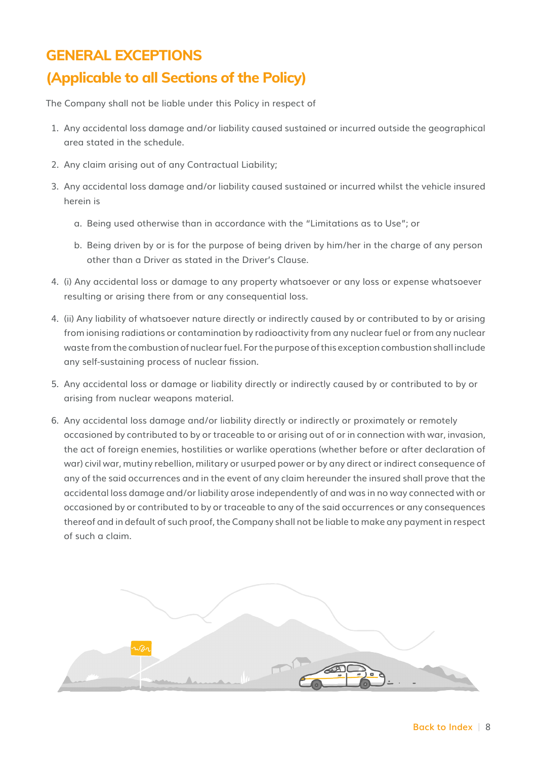#### **GENERAL EXCEPTIONS**

### **(Applicable to all Sections of the Policy)**

The Company shall not be liable under this Policy in respect of

- 1. Any accidental loss damage and/or liability caused sustained or incurred outside the geographical area stated in the schedule.
- 2. Any claim arising out of any Contractual Liability;
- 3. Any accidental loss damage and/or liability caused sustained or incurred whilst the vehicle insured herein is
	- a. Being used otherwise than in accordance with the "Limitations as to Use"; or
	- b. Being driven by or is for the purpose of being driven by him/her in the charge of any person other than a Driver as stated in the Driver's Clause.
- 4. (i) Any accidental loss or damage to any property whatsoever or any loss or expense whatsoever resulting or arising there from or any consequential loss.
- 4. (ii) Any liability of whatsoever nature directly or indirectly caused by or contributed to by or arising from ionising radiations or contamination by radioactivity from any nuclear fuel or from any nuclear waste from the combustion of nuclear fuel. For the purpose of this exception combustion shall include any self-sustaining process of nuclear fission.
- 5. Any accidental loss or damage or liability directly or indirectly caused by or contributed to by or arising from nuclear weapons material.
- 6. Any accidental loss damage and/or liability directly or indirectly or proximately or remotely occasioned by contributed to by or traceable to or arising out of or in connection with war, invasion, the act of foreign enemies, hostilities or warlike operations (whether before or after declaration of war) civil war, mutiny rebellion, military or usurped power or by any direct or indirect consequence of any of the said occurrences and in the event of any claim hereunder the insured shall prove that the accidental loss damage and/or liability arose independently of and was in no way connected with or occasioned by or contributed to by or traceable to any of the said occurrences or any consequences thereof and in default of such proof, the Company shall not be liable to make any payment in respect of such a claim.

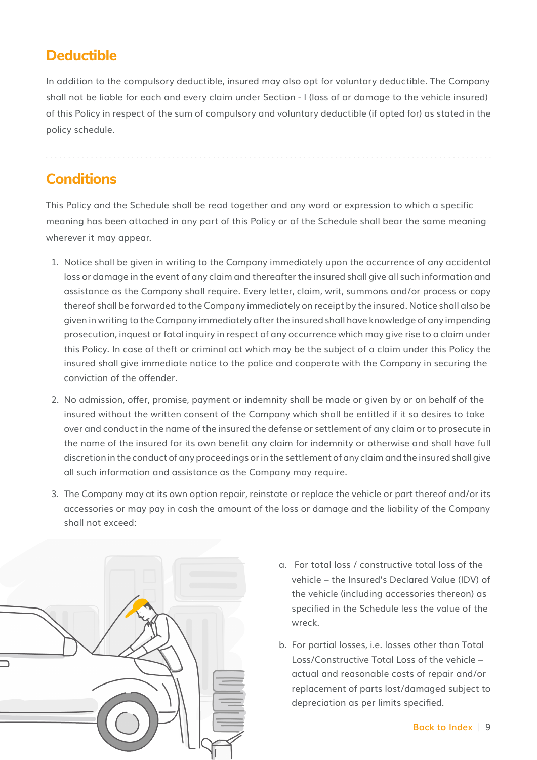### **Deductible**

In addition to the compulsory deductible, insured may also opt for voluntary deductible. The Company shall not be liable for each and every claim under Section - I (loss of or damage to the vehicle insured) of this Policy in respect of the sum of compulsory and voluntary deductible (if opted for) as stated in the policy schedule.

### **Conditions**

This Policy and the Schedule shall be read together and any word or expression to which a specific meaning has been attached in any part of this Policy or of the Schedule shall bear the same meaning wherever it may appear.

- 1. Notice shall be given in writing to the Company immediately upon the occurrence of any accidental loss or damage in the event of any claim and thereafter the insured shall give all such information and assistance as the Company shall require. Every letter, claim, writ, summons and/or process or copy thereof shall be forwarded to the Company immediately on receipt by the insured. Notice shall also be given in writing to the Company immediately after the insured shall have knowledge of any impending prosecution, inquest or fatal inquiry in respect of any occurrence which may give rise to a claim under this Policy. In case of theft or criminal act which may be the subject of a claim under this Policy the insured shall give immediate notice to the police and cooperate with the Company in securing the conviction of the offender.
- 2. No admission, offer, promise, payment or indemnity shall be made or given by or on behalf of the insured without the written consent of the Company which shall be entitled if it so desires to take over and conduct in the name of the insured the defense or settlement of any claim or to prosecute in the name of the insured for its own benefit any claim for indemnity or otherwise and shall have full discretion in the conduct of any proceedings or in the settlement of any claim and the insured shall give all such information and assistance as the Company may require.
- 3. The Company may at its own option repair, reinstate or replace the vehicle or part thereof and/or its accessories or may pay in cash the amount of the loss or damage and the liability of the Company shall not exceed:



- a. For total loss / constructive total loss of the vehicle – the Insured's Declared Value (IDV) of the vehicle (including accessories thereon) as specified in the Schedule less the value of the wreck.
- b. For partial losses, i.e. losses other than Total Loss/Constructive Total Loss of the vehicle – actual and reasonable costs of repair and/or replacement of parts lost/damaged subject to depreciation as per limits specified.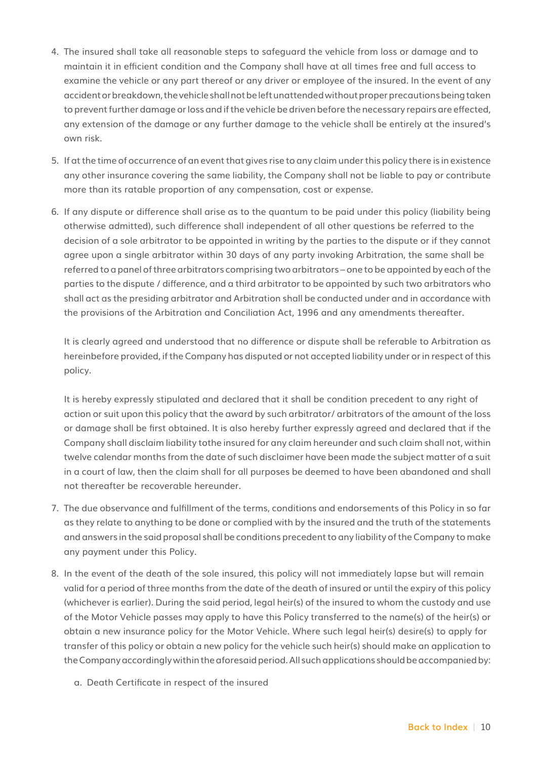- 4. The insured shall take all reasonable steps to safeguard the vehicle from loss or damage and to maintain it in efficient condition and the Company shall have at all times free and full access to examine the vehicle or any part thereof or any driver or employee of the insured. In the event of any accident or breakdown, the vehicle shall not be left unattended without proper precautions being taken to prevent further damage or loss and if the vehicle be driven before the necessary repairs are effected, any extension of the damage or any further damage to the vehicle shall be entirely at the insured's own risk.
- 5. If at the time of occurrence of an event that gives rise to any claim under this policy there is in existence any other insurance covering the same liability, the Company shall not be liable to pay or contribute more than its ratable proportion of any compensation, cost or expense.
- 6. If any dispute or difference shall arise as to the quantum to be paid under this policy (liability being otherwise admitted), such difference shall independent of all other questions be referred to the decision of a sole arbitrator to be appointed in writing by the parties to the dispute or if they cannot agree upon a single arbitrator within 30 days of any party invoking Arbitration, the same shall be referred to a panel of three arbitrators comprising two arbitrators – one to be appointed by each of the parties to the dispute / difference, and a third arbitrator to be appointed by such two arbitrators who shall act as the presiding arbitrator and Arbitration shall be conducted under and in accordance with the provisions of the Arbitration and Conciliation Act, 1996 and any amendments thereafter.

It is clearly agreed and understood that no difference or dispute shall be referable to Arbitration as hereinbefore provided, if the Company has disputed or not accepted liability under or in respect of this policy.

It is hereby expressly stipulated and declared that it shall be condition precedent to any right of action or suit upon this policy that the award by such arbitrator/ arbitrators of the amount of the loss or damage shall be first obtained. It is also hereby further expressly agreed and declared that if the Company shall disclaim liability tothe insured for any claim hereunder and such claim shall not, within twelve calendar months from the date of such disclaimer have been made the subject matter of a suit in a court of law, then the claim shall for all purposes be deemed to have been abandoned and shall not thereafter be recoverable hereunder.

- 7. The due observance and fulfillment of the terms, conditions and endorsements of this Policy in so far as they relate to anything to be done or complied with by the insured and the truth of the statements and answers in the said proposal shall be conditions precedent to any liability of the Company to make any payment under this Policy.
- 8. In the event of the death of the sole insured, this policy will not immediately lapse but will remain valid for a period of three months from the date of the death of insured or until the expiry of this policy (whichever is earlier). During the said period, legal heir(s) of the insured to whom the custody and use of the Motor Vehicle passes may apply to have this Policy transferred to the name(s) of the heir(s) or obtain a new insurance policy for the Motor Vehicle. Where such legal heir(s) desire(s) to apply for transfer of this policy or obtain a new policy for the vehicle such heir(s) should make an application to the Company accordingly within the aforesaid period. All such applications should be accompanied by:
	- a. Death Certificate in respect of the insured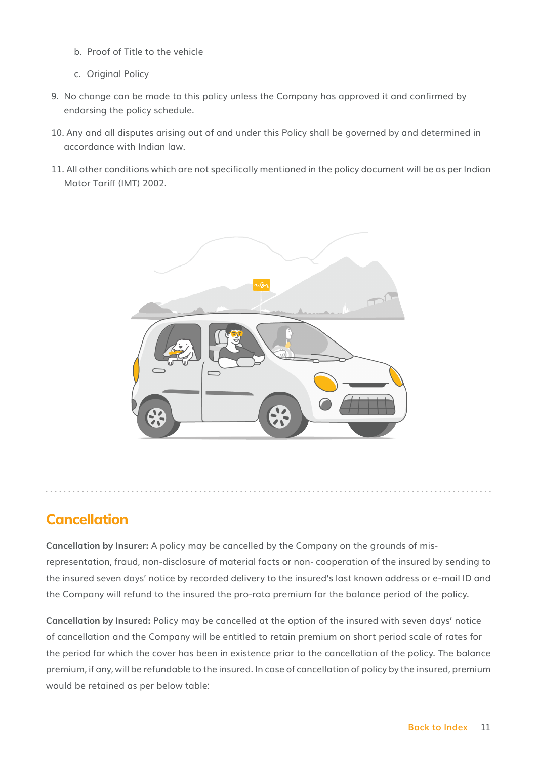- b. Proof of Title to the vehicle
- c. Original Policy
- 9. No change can be made to this policy unless the Company has approved it and confirmed by endorsing the policy schedule.
- 10. Any and all disputes arising out of and under this Policy shall be governed by and determined in accordance with Indian law.
- 11. All other conditions which are not specifically mentioned in the policy document will be as per Indian Motor Tariff (IMT) 2002.



### **Cancellation**

**Cancellation by Insurer:** A policy may be cancelled by the Company on the grounds of misrepresentation, fraud, non-disclosure of material facts or non- cooperation of the insured by sending to the insured seven days' notice by recorded delivery to the insured's last known address or e-mail ID and the Company will refund to the insured the pro-rata premium for the balance period of the policy.

**Cancellation by Insured:** Policy may be cancelled at the option of the insured with seven days' notice of cancellation and the Company will be entitled to retain premium on short period scale of rates for the period for which the cover has been in existence prior to the cancellation of the policy. The balance premium, if any, will be refundable to the insured. In case of cancellation of policy by the insured, premium would be retained as per below table: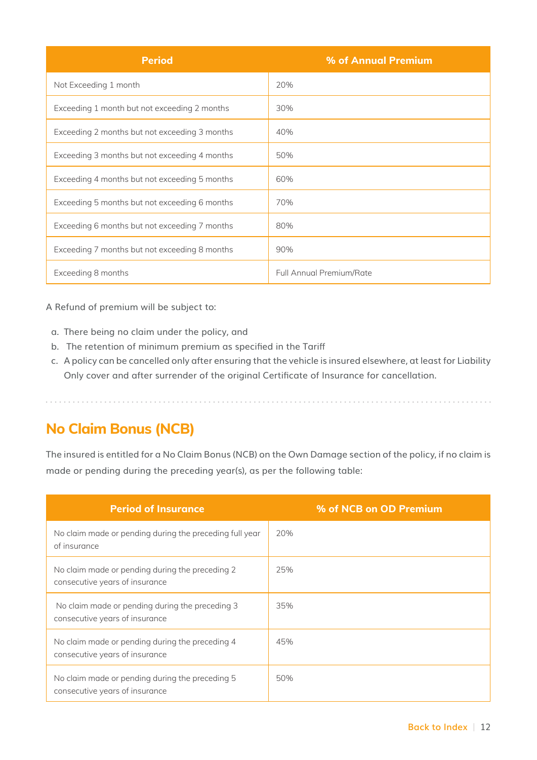| <b>Period</b>                                 | % of Annual Premium             |
|-----------------------------------------------|---------------------------------|
| Not Exceeding 1 month                         | 20%                             |
| Exceeding 1 month but not exceeding 2 months  | 30%                             |
| Exceeding 2 months but not exceeding 3 months | 40%                             |
| Exceeding 3 months but not exceeding 4 months | 50%                             |
| Exceeding 4 months but not exceeding 5 months | 60%                             |
| Exceeding 5 months but not exceeding 6 months | 70%                             |
| Exceeding 6 months but not exceeding 7 months | 80%                             |
| Exceeding 7 months but not exceeding 8 months | 90%                             |
| Exceeding 8 months                            | <b>Full Annual Premium/Rate</b> |

A Refund of premium will be subject to:

- a. There being no claim under the policy, and
- b. The retention of minimum premium as specified in the Tariff

. . . . . . . . . .

c. A policy can be cancelled only after ensuring that the vehicle is insured elsewhere, at least for Liability Only cover and after surrender of the original Certificate of Insurance for cancellation.

#### **No Claim Bonus (NCB)**

The insured is entitled for a No Claim Bonus (NCB) on the Own Damage section of the policy, if no claim is made or pending during the preceding year(s), as per the following table:

| <b>Period of Insurance</b>                                                        | % of NCB on OD Premium |
|-----------------------------------------------------------------------------------|------------------------|
| No claim made or pending during the preceding full year<br>of insurance           | 20%                    |
| No claim made or pending during the preceding 2<br>consecutive years of insurance | 25%                    |
| No claim made or pending during the preceding 3<br>consecutive years of insurance | 35%                    |
| No claim made or pending during the preceding 4<br>consecutive years of insurance | 45%                    |
| No claim made or pending during the preceding 5<br>consecutive years of insurance | 50%                    |

. . . . . . . . . . . . . . . . .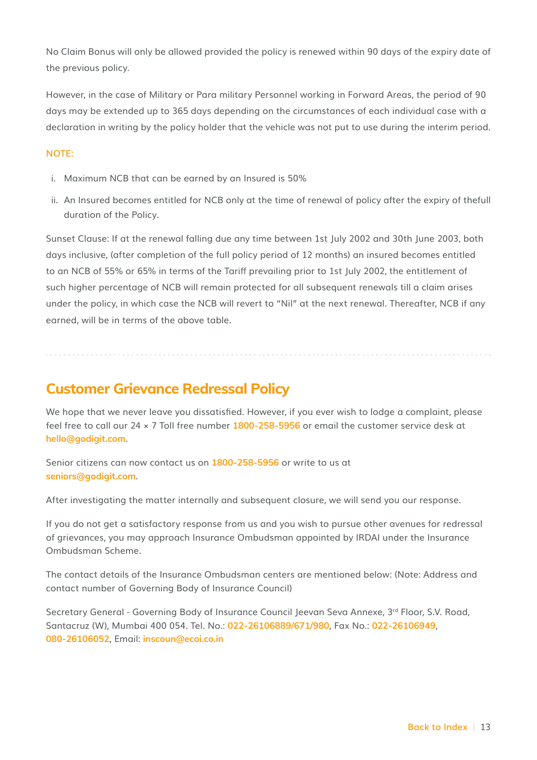No Claim Bonus will only be allowed provided the policy is renewed within 90 days of the expiry date of the previous policy.

However, in the case of Military or Para military Personnel working in Forward Areas, the period of 90 days may be extended up to 365 days depending on the circumstances of each individual case with a declaration in writing by the policy holder that the vehicle was not put to use during the interim period.

#### **NOTE:**

- i. Maximum NCB that can be earned by an Insured is 50%
- ii. An Insured becomes entitled for NCB only at the time of renewal of policy after the expiry of thefull duration of the Policy.

Sunset Clause: If at the renewal falling due any time between 1st July 2002 and 30th June 2003, both days inclusive, (after completion of the full policy period of 12 months) an insured becomes entitled to an NCB of 55% or 65% in terms of the Tariff prevailing prior to 1st July 2002, the entitlement of such higher percentage of NCB will remain protected for all subsequent renewals till a claim arises under the policy, in which case the NCB will revert to "Nil" at the next renewal. Thereafter, NCB if any earned, will be in terms of the above table.

### **Customer Grievance Redressal Policy**

We hope that we never leave you dissatisfied. However, if you ever wish to lodge a complaint, please feel free to call our 24 × 7 Toll free number **1800-258-5956** or email the customer service desk at **hello@godigit.com**.

Senior citizens can now contact us on **1800-258-5956** or write to us at **seniors@godigit.com**.

After investigating the matter internally and subsequent closure, we will send you our response.

If you do not get a satisfactory response from us and you wish to pursue other avenues for redressal of grievances, you may approach Insurance Ombudsman appointed by IRDAI under the Insurance Ombudsman Scheme.

The contact details of the Insurance Ombudsman centers are mentioned below: (Note: Address and contact number of Governing Body of Insurance Council)

Secretary General - Governing Body of Insurance Council Jeevan Seva Annexe, 3rd Floor, S.V. Road, Santacruz (W), Mumbai 400 054. Tel. No.: **022-26106889/671/980**, Fax No.: **022-26106949**, **080-26106052**, Email: **inscoun@ecoi.co.in**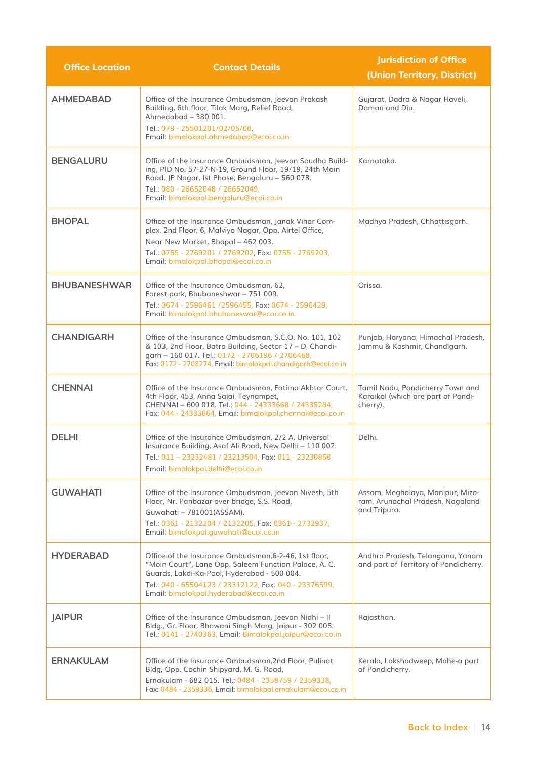| <b>Office Location</b> | <b>Contact Details</b>                                                                                                                                                                                                                                           | <b>Jurisdiction of Office</b><br>(Union Territory, District)                         |
|------------------------|------------------------------------------------------------------------------------------------------------------------------------------------------------------------------------------------------------------------------------------------------------------|--------------------------------------------------------------------------------------|
| <b>AHMEDABAD</b>       | Office of the Insurance Ombudsman, Jeevan Prakash<br>Building, 6th floor, Tilak Marg, Relief Road,<br>Ahmedabad - 380 001.<br>Tel.: 079 - 25501201/02/05/06,<br>Email: bimalokpal.ahmedabad@ecoi.co.in                                                           | Gujarat, Dadra & Nagar Haveli,<br>Daman and Diu.                                     |
| <b>BENGALURU</b>       | Office of the Insurance Ombudsman, Jeevan Soudha Build-<br>ing, PID No. 57-27-N-19, Ground Floor, 19/19, 24th Main<br>Road, JP Nagar, Ist Phase, Bengaluru - 560 078.<br>Tel.: 080 - 26652048 / 26652049,<br>Email: bimalokpal.bengaluru@ecoi.co.in              | Karnataka.                                                                           |
| <b>BHOPAL</b>          | Office of the Insurance Ombudsman, Janak Vihar Com-<br>plex, 2nd Floor, 6, Malviya Nagar, Opp. Airtel Office,<br>Near New Market, Bhopal - 462 003.<br>Tel.: 0755 - 2769201 / 2769202, Fax: 0755 - 2769203,<br>Email: bimalokpal.bhopal@ecoi.co.in               | Madhya Pradesh, Chhattisgarh.                                                        |
| <b>BHUBANESHWAR</b>    | Office of the Insurance Ombudsman, 62,<br>Forest park, Bhubaneshwar - 751 009.<br>Tel.: 0674 - 2596461 /2596455, Fax: 0674 - 2596429,<br>Email: bimalokpal.bhubaneswar@ecoi.co.in                                                                                | Orissa.                                                                              |
| <b>CHANDIGARH</b>      | Office of the Insurance Ombudsman, S.C.O. No. 101, 102<br>& 103, 2nd Floor, Batra Building, Sector 17 - D, Chandi-<br>garh - 160 017. Tel.: 0172 - 2706196 / 2706468,<br>Fax: 0172 - 2708274, Email: bimalokpal.chandigarh@ecoi.co.in                            | Punjab, Haryana, Himachal Pradesh,<br>Jammu & Kashmir, Chandīgarh.                   |
| <b>CHENNAI</b>         | Office of the Insurance Ombudsman, Fatima Akhtar Court,<br>4th Floor, 453, Anna Salai, Teynampet,<br>CHENNAI - 600 018. Tel.: 044 - 24333668 / 24335284,<br>Fax: 044 - 24333664, Email: bimalokpal.chennai@ecoi.co.in                                            | Tamil Nadu, Pondicherry Town and<br>Karaikal (which are part of Pondi-<br>cherry).   |
| <b>DELHI</b>           | Office of the Insurance Ombudsman, 2/2 A, Universal<br>Insurance Building, Asaf Ali Road, New Delhi - 110 002.<br>Tel.: 011 - 23232481 / 23213504, Fax: 011 - 23230858<br>Email: bimalokpal.delhi@ecoi.co.in                                                     | Delhi.                                                                               |
| <b>GUWAHATI</b>        | Office of the Insurance Ombudsman, Jeevan Nivesh, 5th<br>Floor, Nr. Panbazar over bridge, S.S. Road,<br>Guwahati - 781001(ASSAM).<br>Tel.: 0361 - 2132204 / 2132205, Fax: 0361 - 2732937,<br>Email: bimalokpal.guwahati@ecoi.co.in                               | Assam, Meghalaya, Manipur, Mizo-<br>ram, Arunachal Pradesh, Nagaland<br>and Tripura. |
| <b>HYDERABAD</b>       | Office of the Insurance Ombudsman, 6-2-46, 1st floor,<br>"Moin Court", Lane Opp. Saleem Function Palace, A. C.<br>Guards, Lakdi-Ka-Pool, Hyderabad - 500 004.<br>Tel.: 040 - 65504123 / 23312122, Fax: 040 - 23376599,<br>Email: bimalokpal.hyderabad@ecoi.co.in | Andhra Pradesh, Telangana, Yanam<br>and part of Territory of Pondicherry.            |
| <b>JAIPUR</b>          | Office of the Insurance Ombudsman, Jeevan Nidhi - II<br>Bldg., Gr. Floor, Bhawani Singh Marg, Jaipur - 302 005.<br>Tel.: 0141 - 2740363, Email: Bimalokpal.jaipur@ecoi.co.in                                                                                     | Rajasthan.                                                                           |
| <b>ERNAKULAM</b>       | Office of the Insurance Ombudsman, 2nd Floor, Pulinat<br>Bldg, Opp. Cochin Shipyard, M. G. Road,<br>Ernakulam - 682 015. Tel.: 0484 - 2358759 / 2359338,<br>Fax: 0484 - 2359336, Email: bimalokpal.ernakulam@ecoi.co.in                                          | Kerala, Lakshadweep, Mahe-a part<br>of Pondicherry.                                  |